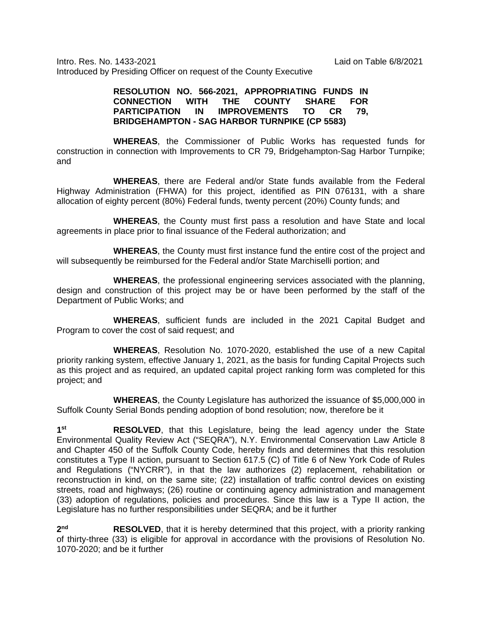Intro. Res. No. 1433-2021 Laid on Table 6/8/2021 Introduced by Presiding Officer on request of the County Executive

## **RESOLUTION NO. 566-2021, APPROPRIATING FUNDS IN CONNECTION WITH THE COUNTY SHARE FOR**  PARTICIPATION IN IMPROVEMENTS TO CR **BRIDGEHAMPTON - SAG HARBOR TURNPIKE (CP 5583)**

**WHEREAS**, the Commissioner of Public Works has requested funds for construction in connection with Improvements to CR 79, Bridgehampton-Sag Harbor Turnpike; and

**WHEREAS**, there are Federal and/or State funds available from the Federal Highway Administration (FHWA) for this project, identified as PIN 076131, with a share allocation of eighty percent (80%) Federal funds, twenty percent (20%) County funds; and

**WHEREAS**, the County must first pass a resolution and have State and local agreements in place prior to final issuance of the Federal authorization; and

**WHEREAS**, the County must first instance fund the entire cost of the project and will subsequently be reimbursed for the Federal and/or State Marchiselli portion; and

**WHEREAS**, the professional engineering services associated with the planning, design and construction of this project may be or have been performed by the staff of the Department of Public Works; and

**WHEREAS**, sufficient funds are included in the 2021 Capital Budget and Program to cover the cost of said request; and

**WHEREAS**, Resolution No. 1070-2020, established the use of a new Capital priority ranking system, effective January 1, 2021, as the basis for funding Capital Projects such as this project and as required, an updated capital project ranking form was completed for this project; and

**WHEREAS**, the County Legislature has authorized the issuance of \$5,000,000 in Suffolk County Serial Bonds pending adoption of bond resolution; now, therefore be it

**1st RESOLVED**, that this Legislature, being the lead agency under the State Environmental Quality Review Act ("SEQRA"), N.Y. Environmental Conservation Law Article 8 and Chapter 450 of the Suffolk County Code, hereby finds and determines that this resolution constitutes a Type II action, pursuant to Section 617.5 (C) of Title 6 of New York Code of Rules and Regulations ("NYCRR"), in that the law authorizes (2) replacement, rehabilitation or reconstruction in kind, on the same site; (22) installation of traffic control devices on existing streets, road and highways; (26) routine or continuing agency administration and management (33) adoption of regulations, policies and procedures. Since this law is a Type II action, the Legislature has no further responsibilities under SEQRA; and be it further

**2nd RESOLVED**, that it is hereby determined that this project, with a priority ranking of thirty-three (33) is eligible for approval in accordance with the provisions of Resolution No. 1070-2020; and be it further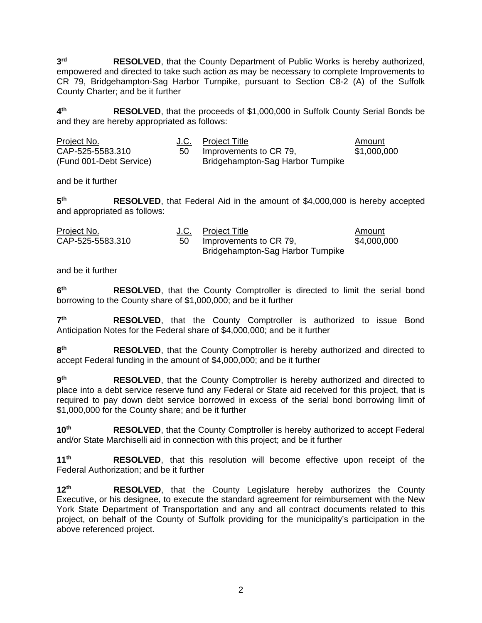**3rd RESOLVED**, that the County Department of Public Works is hereby authorized, empowered and directed to take such action as may be necessary to complete Improvements to CR 79, Bridgehampton-Sag Harbor Turnpike, pursuant to Section C8-2 (A) of the Suffolk County Charter; and be it further

**4th RESOLVED**, that the proceeds of \$1,000,000 in Suffolk County Serial Bonds be and they are hereby appropriated as follows:

| Project No.             | J.C. Project Title                | Amount      |
|-------------------------|-----------------------------------|-------------|
| CAP-525-5583.310        | Improvements to CR 79,            | \$1,000,000 |
| (Fund 001-Debt Service) | Bridgehampton-Sag Harbor Turnpike |             |

and be it further

**5th RESOLVED**, that Federal Aid in the amount of \$4,000,000 is hereby accepted and appropriated as follows:

| Project No.      |     | J.C. Project Title                | Amount      |
|------------------|-----|-----------------------------------|-------------|
| CAP-525-5583.310 | -50 | Improvements to CR 79,            | \$4,000,000 |
|                  |     | Bridgehampton-Sag Harbor Turnpike |             |

and be it further

**6th RESOLVED**, that the County Comptroller is directed to limit the serial bond borrowing to the County share of \$1,000,000; and be it further

**7th RESOLVED**, that the County Comptroller is authorized to issue Bond Anticipation Notes for the Federal share of \$4,000,000; and be it further

**8th RESOLVED**, that the County Comptroller is hereby authorized and directed to accept Federal funding in the amount of \$4,000,000; and be it further

**9th RESOLVED**, that the County Comptroller is hereby authorized and directed to place into a debt service reserve fund any Federal or State aid received for this project, that is required to pay down debt service borrowed in excess of the serial bond borrowing limit of \$1,000,000 for the County share; and be it further

**10<sup>th</sup> RESOLVED**, that the County Comptroller is hereby authorized to accept Federal and/or State Marchiselli aid in connection with this project; and be it further

**11th RESOLVED**, that this resolution will become effective upon receipt of the Federal Authorization; and be it further

**12<sup>th</sup> RESOLVED**, that the County Legislature hereby authorizes the County Executive, or his designee, to execute the standard agreement for reimbursement with the New York State Department of Transportation and any and all contract documents related to this project, on behalf of the County of Suffolk providing for the municipality's participation in the above referenced project.